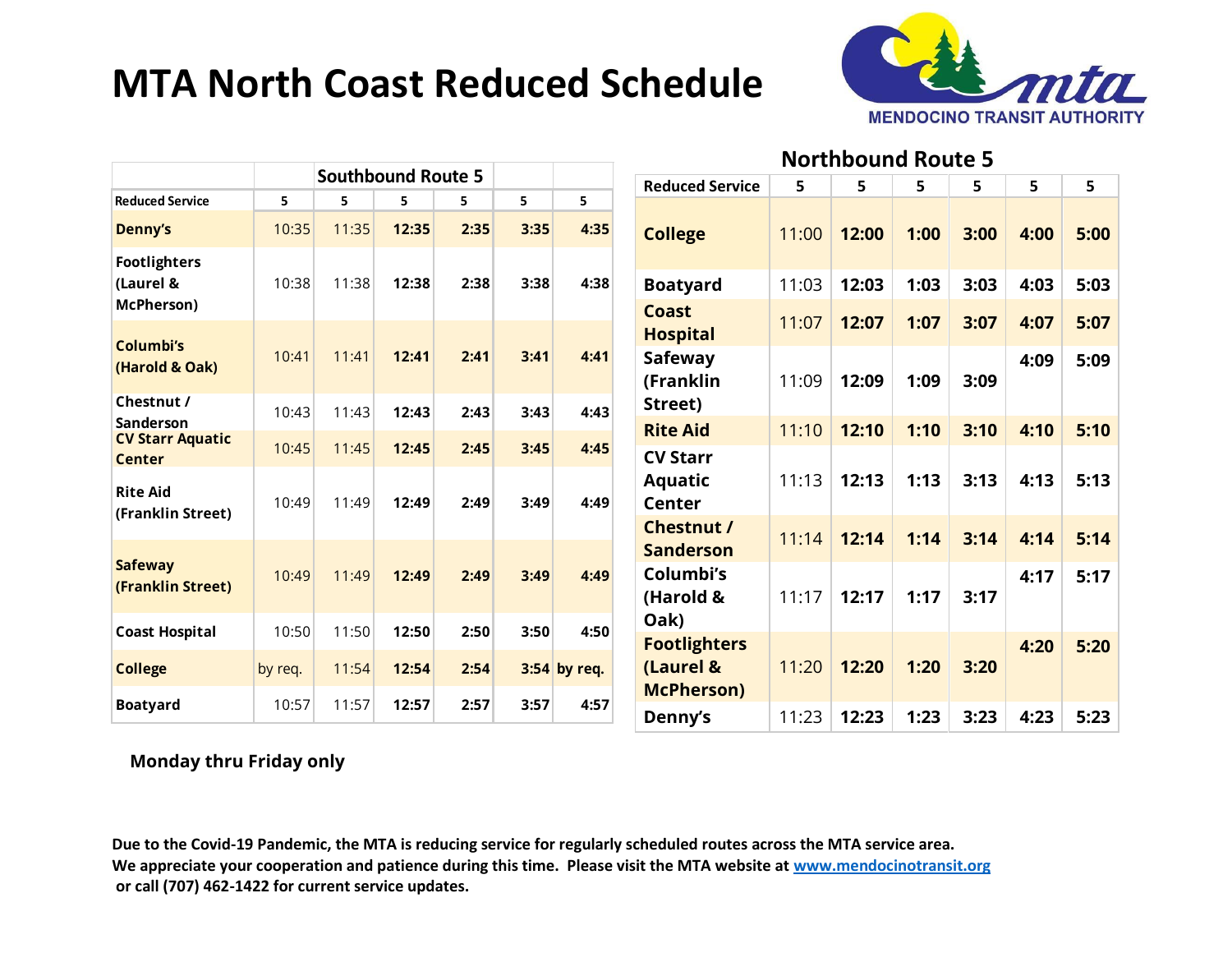# **MTA North Coast Reduced Schedule**



#### **Northbound Route 5**

|                                          | <b>Southbound Route 5</b> |       |       |      |      |              | <b>Reduced Service</b>             | 5     | 5     | 5    | 5    | 5    | 5    |
|------------------------------------------|---------------------------|-------|-------|------|------|--------------|------------------------------------|-------|-------|------|------|------|------|
| <b>Reduced Service</b>                   | 5                         | 5     | 5     | 5    | 5    | 5.           |                                    |       |       |      |      |      |      |
| <b>Denny's</b>                           | 10:35                     | 11:35 | 12:35 | 2:35 | 3:35 | 4:35         | <b>College</b>                     | 11:00 | 12:00 | 1:00 | 3:00 | 4:00 | 5:00 |
| <b>Footlighters</b><br>(Laurel &         | 10:38                     | 11:38 | 12:38 | 2:38 | 3:38 | 4:38         | <b>Boatyard</b>                    | 11:03 | 12:03 | 1:03 | 3:03 | 4:03 | 5:03 |
| McPherson)                               |                           |       |       |      |      |              | <b>Coast</b><br><b>Hospital</b>    | 11:07 | 12:07 | 1:07 | 3:07 | 4:07 | 5:07 |
| Columbi's<br>(Harold & Oak)              | 10:41                     | 11:41 | 12:41 | 2:41 | 3:41 | 4:41         | <b>Safeway</b><br>(Franklin        | 11:09 | 12:09 | 1:09 | 3:09 | 4:09 | 5:09 |
| Chestnut /<br>Sanderson                  | 10:43                     | 11:43 | 12:43 | 2:43 | 3:43 | 4:43         | Street)                            |       |       |      |      |      |      |
| <b>CV Starr Aquatic</b><br><b>Center</b> | 10:45                     | 11:45 | 12:45 | 2:45 | 3:45 | 4:45         | <b>Rite Aid</b><br><b>CV Starr</b> | 11:10 | 12:10 | 1:10 | 3:10 | 4:10 | 5:10 |
| <b>Rite Aid</b><br>(Franklin Street)     | 10:49                     | 11:49 | 12:49 | 2:49 | 3:49 | 4:49         | <b>Aquatic</b><br><b>Center</b>    | 11:13 | 12:13 | 1:13 | 3:13 | 4:13 | 5:13 |
|                                          |                           |       |       |      |      |              | Chestnut /<br><b>Sanderson</b>     | 11:14 | 12:14 | 1:14 | 3:14 | 4:14 | 5:14 |
| <b>Safeway</b><br>(Franklin Street)      | 10:49                     | 11:49 | 12:49 | 2:49 | 3:49 | 4:49         | Columbi's<br>(Harold &             | 11:17 | 12:17 | 1:17 | 3:17 | 4:17 | 5:17 |
| <b>Coast Hospital</b>                    | 10:50                     | 11:50 | 12:50 | 2:50 | 3:50 | 4:50         | Oak)<br><b>Footlighters</b>        |       |       |      |      | 4:20 | 5:20 |
| <b>College</b>                           | by req.                   | 11:54 | 12:54 | 2:54 |      | 3:54 by req. | (Laurel &<br><b>McPherson)</b>     | 11:20 | 12:20 | 1:20 | 3:20 |      |      |
| <b>Boatyard</b>                          | 10:57                     | 11:57 | 12:57 | 2:57 | 3:57 | 4:57         | Denny's                            | 11:23 | 12:23 | 1:23 | 3:23 | 4:23 | 5:23 |

#### **Monday thru Friday only**

**Due to the Covid-19 Pandemic, the MTA is reducing service for regularly scheduled routes across the MTA service area. We appreciate your cooperation and patience during this time. Please visit the MTA website at [www.mendocinotransit.org](http://www.mendocinotransit.org/) or call (707) 462-1422 for current service updates.**